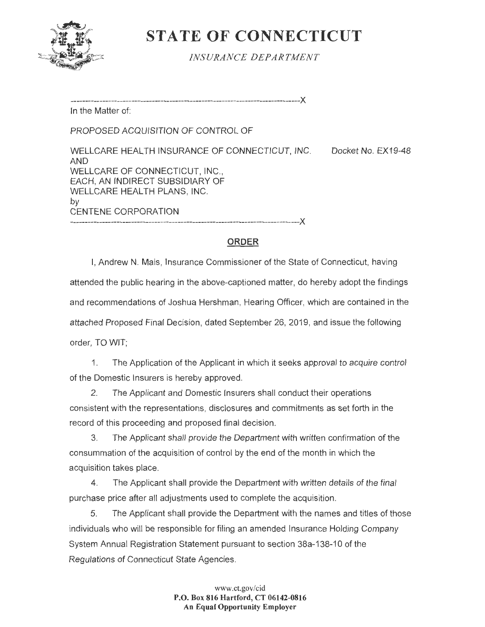

# **STATE OF CONNECTICUT**

*INSURANCE DEPA RTMENT* 

-------------------------------------------------------------------------------><

In the Matter of:

PROPOSED ACQUISITION OF CONTROL OF

WELLCARE HEALTH INSURANCE OF CONNECTICUT, INC. Docket No. EX19-48 AND WELLCARE OF CONNECTICUT, INC., EACH, AN INDIRECT SUBSIDIARY OF WELLCARE HEALTH PLANS, INC. by CENTENE CORPORATION

-------------------------------------------------------------------------------)(

# **ORDER**

I, Andrew N. Mais, Insurance Commissioner of the State of Connecticut, having attended the public hearing in the above-captioned matter, do hereby adopt the findings and recommendations of Joshua Hershman, Hearing Officer, which are contained in the attached Proposed Final Decision, dated September 26, 2019, and issue the following order, TO WIT;

1. The Application of the Applicant in which it seeks approval to acquire control of the Domestic Insurers is hereby approved.

2. The Applicant and Domestic Insurers shall conduct their operations consistent with the representations, disclosures and commitments as set forth in the record of this proceeding and proposed final decision.

3. The Applicant shall provide the Department with written confirmation of the consummation of the acquisition of control by the end of the month in which the acquisition takes place.

4. The Applicant shall provide the Department with written details of the final purchase price after all adjustments used to complete the acquisition.

5. The Applicant shall provide the Department with the names and titles of those individuals who will be responsible for filing an amended Insurance Holding Company System Annual Registration Statement pursuant to section 38a-138-10 of the Regulations of Connecticut State Agencies.

> **www.ct.gov/cid P.O. Box 816 Hartford, CT 06142-0816 An Equal Opportunity Employer**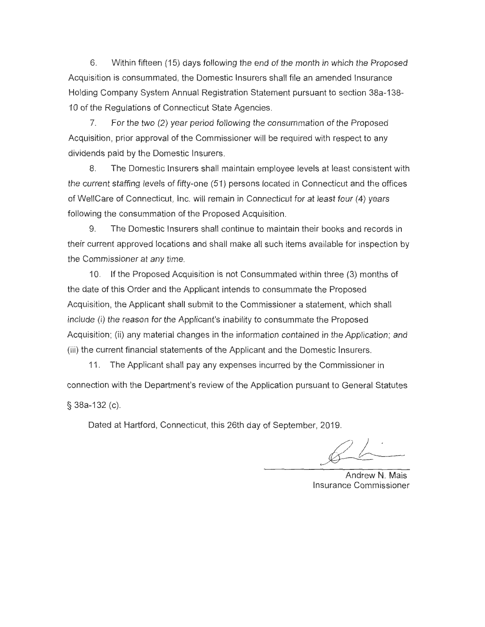6. Within fifteen ( 15) days following the end of the month in which the Proposed Acquisition is consummated, the Domestic Insurers shall file an amended Insurance Holding Company System Annual Registration Statement pursuant to section 38a-138- 10 of the Regulations of Connecticut State Agencies.

7. For the two (2) year period following the consummation of the Proposed Acquisition, prior approval of the Commissioner will be required with respect to any dividends paid by the Domestic Insurers.

8. The Domestic Insurers shall maintain employee levels at least consistent with the current staffing levels of fifty-one (51) persons located in Connecticut and the offices of WellCare of Connecticut, Inc. will remain in Connecticut for at least four (4) years following the consummation of the Proposed Acquisition.

9. The Domestic Insurers shall continue to maintain their books and records in their current approved locations and shall make all such items available for inspection by the Commissioner at any time.

10. If the Proposed Acquisition is not Consummated within three (3) months of the date of this Order and the Applicant intends to consummate the Proposed Acquisition, the Applicant shall submit to the Commissioner a statement, which shall include (i) the reason for the Applicant's inability to consummate the Proposed Acquisition; (ii) any material changes in the information contained in the Application; and (iii) the current financial statements of the Applicant and the Domestic Insurers.

11 . The Applicant shall pay any expenses incurred by the Commissioner in connection with the Department's review of the Application pursuant to General Statutes § 38a-132 (c).

Dated at Hartford, Connecticut, this 26th day of September, 2019.

Andrew N. Mais Insurance Commissioner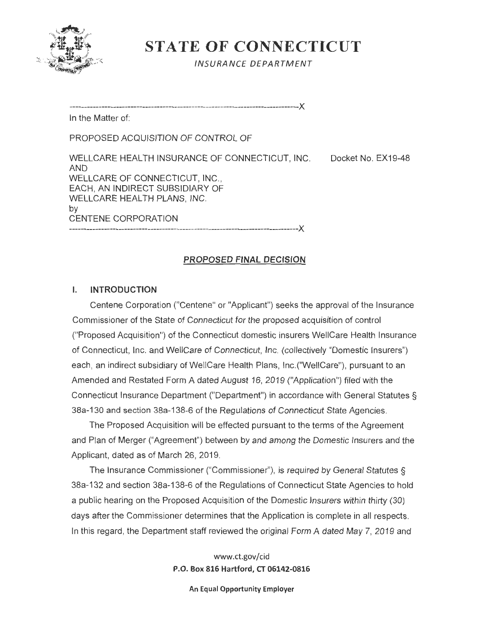

**STATE OF CONNECTICUT** 

INSURANCE DEPARTMENT

-------------------------------------------------------------------------------><

In the Matter of:

PROPOSED ACQUISITION OF CONTROL OF

WELLCARE HEALTH INSURANCE OF CONNECTICUT, INC. Docket No. EX19-48 AND WELLCARE OF CONNECTICUT, INC., EACH, AN INDIRECT SUBSIDIARY OF WELLCARE HEALTH PLANS, INC. by CENTENE CORPORATION -------------------------------------------------------------------------------><

# **PROPOSED FINAL DECISION**

# **I. INTRODUCTION**

Centene Corporation ("Centene" or "Applicant") seeks the approval of the Insurance Commissioner of the State of Connecticut for the proposed acquisition of control ("Proposed Acquisition") of the Connecticut domestic insurers WellCare Health Insurance of Connecticut, Inc. and WellCare of Connecticut, Inc. (collectively "Domestic Insurers") each, an indirect subsidiary of WellCare Health Plans, lnc.("WellCare"), pursuant to an Amended and Restated Form A dated August 16, 2019 ("Application") filed with the Connecticut Insurance Department ("Department") in accordance with General Statutes§ 38a-130 and section 38a-138-6 of the Regulations of Connecticut State Agencies.

The Proposed Acquisition will be effected pursuant to the terms of the Agreement and Plan of Merger ("Agreement") between by and among the Domestic Insurers and the Applicant, dated as of March 26, 2019.

The Insurance Commissioner ("Commissioner"), is required by General Statutes § 38a-132 and section 38a-138-6 of the Regulations of Connecticut State Agencies to hold a public hearing on the Proposed Acquisition of the Domestic Insurers within thirty (30) days after the Commissioner determines that the Application is complete in all respects. In this regard, the Department staff reviewed the original Form A dated May 7, 2019 and

> www.ct.gov/cid **P.O. Box 816 Hartford, CT 06142-0816**

> > **An Equal Opportunity Employer**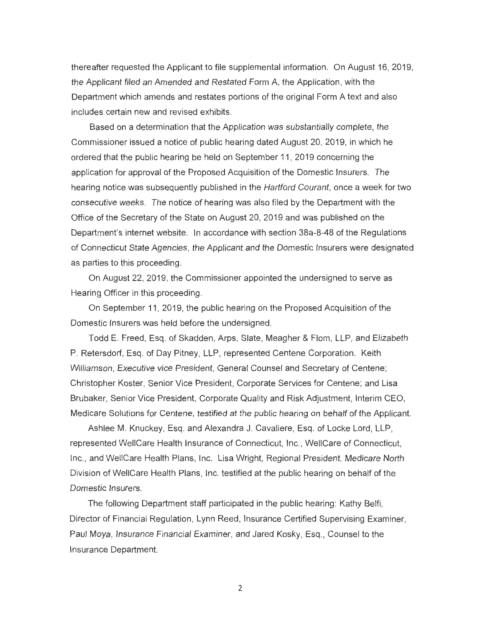thereafter requested the Applicant to file supplemental information. On August 16, 2019, the Applicant filed an Amended and Restated Form A, the Application, with the Department which amends and restates portions of the original Form A text and also includes certain new and revised exhibits.

Based on a determination that the Application was substantially complete, the Commissioner issued a notice of public hearing dated August 20, 2019, in which he ordered that the public hearing be held on September 11 , 2019 concerning the application for approval of the Proposed Acquisition of the Domestic Insurers. The hearing notice was subsequently published in the Hartford Courant, once a week for two consecutive weeks . The notice of hearing was also filed by the Department with the Office of the Secretary of the State on August 20, 2019 and was published on the Department's internet website. In accordance with section 38a-8-48 of the Regulations of Connecticut State Agencies , the Applicant and the Domestic Insurers were designated as parties to this proceeding.

On August 22, 2019, the Commissioner appointed the undersigned to serve as Hearing Officer in this proceeding.

On September 11 , 2019, the public hearing on the Proposed Acquisition of the Domestic Insurers was held before the undersigned.

Todd E. Freed, Esq. of Skadden, Arps, Slate, Meagher & Flom , LLP, and Elizabeth P. Retersdorf, Esq. of Day Pitney, LLP, represented Centene Corporation. Keith Williamson, Executive vice President, General Counsel and Secretary of Centene; Christopher Koster, Senior Vice President, Corporate Services for Centene; and Lisa Brubaker, Senior Vice President, Corporate Quality and Risk Adjustment, Interim CEO, Medicare Solutions for Centene, testified at the public hearing on behalf of the Applicant.

Ashlee M. Knuckey, Esq . and Alexandra J. Cavaliere, Esq. of Locke Lord, LLP, represented WellCare Health Insurance of Connecticut, Inc., WellCare of Connecticut, Inc., and WellCare Health Plans, Inc. Lisa Wright, Regional President, Medicare North Division of WellCare Health Plans, Inc. testified at the public hearing on behalf of the Domestic Insurers.

The following Department staff participated in the public hearing: Kathy Belfi, Director of Financial Regulation, Lynn Reed, Insurance Certified Supervising Examiner, Paul Moya, Insurance Financial Examiner, and Jared Kosky, Esq., Counsel to the Insurance Department.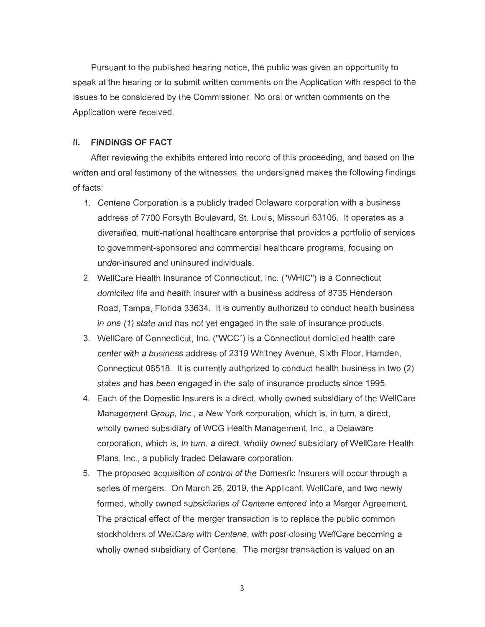Pursuant to the published hearing notice, the public was given an opportunity to speak at the hearing or to submit written comments on the Application with respect to the issues to be considered by the Commissioner. No oral or written comments on the Application were received.

#### II. **FINDINGS OF FACT**

After reviewing the exhibits entered into record of this proceeding, and based on the written and oral testimony of the witnesses, the undersigned makes the following findings of facts:

- 1. Centene Corporation is a publicly traded Delaware corporation with a business address of 7700 Forsyth Boulevard, St. Louis, Missouri 63105. It operates as a diversified, multi-national healthcare enterprise that provides a portfolio of services to government-sponsored and commercial healthcare programs, focusing on under-insured and uninsured individuals.
- 2. WellCare Health Insurance of Connecticut, Inc. ("WHIC'') is a Connecticut domiciled life and health insurer with a business address of 8735 Henderson Road, Tampa, Florida 33634. It is currently authorized to conduct health business in one (1) state and has not yet engaged in the sale of insurance products.
- 3. WellCare of Connecticut, Inc. ("WCC") is a Connecticut domiciled health care center with a business address of 2319 Whitney Avenue, Sixth Floor, Hamden, Connecticut 06518. It is currently authorized to conduct health business in two (2) states and has been engaged in the sale of insurance products since 1995.
- 4. Each of the Domestic Insurers is a direct, wholly owned subsidiary of the WellCare Management Group, Inc., a New York corporation, which is, in turn, a direct, wholly owned subsidiary of WCG Health Management, Inc., a Delaware corporation, which is, in turn, a direct, wholly owned subsidiary of WellCare Health Plans, Inc., a publicly traded Delaware corporation.
- 5. The proposed acquisition of control of the Domestic Insurers will occur through a series of mergers. On March 26, 2019, the Applicant, WellCare, and two newly formed, wholly owned subsidiaries of Centene entered into a Merger Agreement. The practical effect of the merger transaction is to replace the public common stockholders of WellCare with Centene, with post-closing WellCare becoming a wholly owned subsidiary of Centene. The merger transaction is valued on an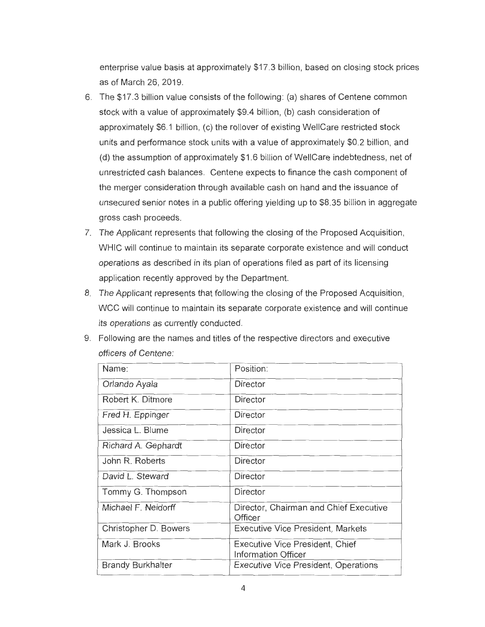enterprise value basis at approximately \$17 .3 billion, based on closing stock prices as of March 26, 2019.

- 6. The \$17.3 billion value consists of the following : (a) shares of Centene common stock with a value of approximately \$9.4 billion , (b) cash consideration of approximately \$6.1 billion, (c) the rollover of existing WellCare restricted stock units and performance stock units with a value of approximately \$0.2 billion, and (d) the assumption of approximately \$1 .6 billion of WellCare indebtedness, net of unrestricted cash balances. Centene expects to finance the cash component of the merger consideration through available cash on hand and the issuance of unsecured senior notes in a public offering yielding up to \$8.35 billion in aggregate gross cash proceeds.
- 7. The Applicant represents that following the closing of the Proposed Acquisition, WHIC will continue to maintain its separate corporate existence and will conduct operations as described in its plan of operations filed as part of its licensing application recently approved by the Department.
- 8. The Applicant represents that following the closing of the Proposed Acquisition, WCC will continue to maintain its separate corporate existence and will continue its operations as currently conducted.

| Name:                    | Position:                                                            |
|--------------------------|----------------------------------------------------------------------|
| Orlando Ayala            | Director                                                             |
| Robert K. Ditmore        | Director                                                             |
| Fred H. Eppinger         | Director                                                             |
| Jessica L. Blume         | Director                                                             |
| Richard A. Gephardt      | Director                                                             |
| John R. Roberts          | Director                                                             |
| David L. Steward         | Director                                                             |
| Tommy G. Thompson        | Director                                                             |
| Michael F. Neidorff      | Director, Chairman and Chief Executive<br>Officer                    |
| Christopher D. Bowers    | <b>Executive Vice President, Markets</b>                             |
| Mark J. Brooks           | <b>Executive Vice President, Chief</b><br><b>Information Officer</b> |
| <b>Brandy Burkhalter</b> | Executive Vice President, Operations                                 |

9. Following are the names and titles of the respective directors and executive officers of Centene: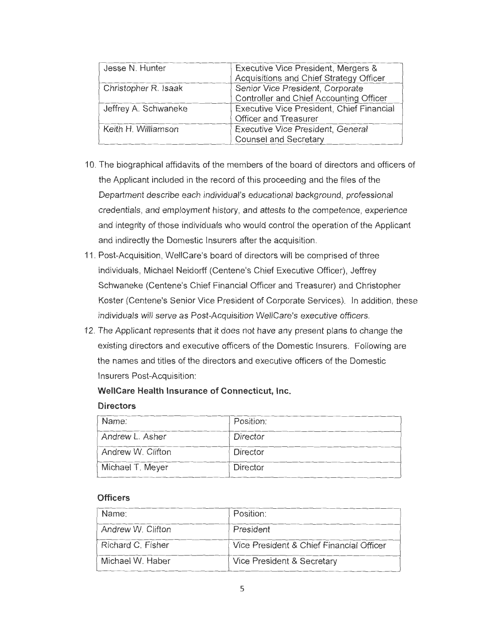| Jesse N. Hunter      | Executive Vice President, Mergers &<br>Acquisitions and Chief Strategy Officer |
|----------------------|--------------------------------------------------------------------------------|
| Christopher R. Isaak | Senior Vice President, Corporate<br>Controller and Chief Accounting Officer    |
| Jeffrey A. Schwaneke | Executive Vice President, Chief Financial<br>Officer and Treasurer             |
| Keith H. Williamson  | Executive Vice President, General<br><b>Counsel and Secretary</b>              |

- 10. The biographical affidavits of the members of the board of directors and officers of the Applicant included in the record of this proceeding and the files of the Department describe each individual's educational background, professional credentials, and employment history, and attests to the competence, experience and integrity of those individuals who would control the operation of the Applicant and indirectly the Domestic Insurers after the acquisition.
- 11 . Post-Acquisition, WellCare's board of directors will be comprised of three individuals, Michael Neidorff (Centene's Chief Executive Officer), Jeffrey Schwaneke (Centene's Chief Financial Officer and Treasurer) and Christopher Koster (Centene's Senior Vice President of Corporate Services). In addition, these individuals will serve as Post-Acquisition WellCare's executive officers.
- 12. The Applicant represents that it does not have any present plans to change the existing directors and executive officers of the Domestic Insurers. Following are the names and titles of the directors and executive officers of the Domestic Insurers Post-Acquisition:

# **WellCare Health Insurance of Connecticut, Inc.**

### **Directors**

| Name:             | Position: |
|-------------------|-----------|
| Andrew L. Asher   | Director  |
| Andrew W. Clifton | Director  |
| Michael T. Meyer  | Director  |

# **Officers**

| Name:             | Position:                                |
|-------------------|------------------------------------------|
| Andrew W. Clifton | President                                |
| Richard C. Fisher | Vice President & Chief Financial Officer |
| Michael W. Haber  | Vice President & Secretary               |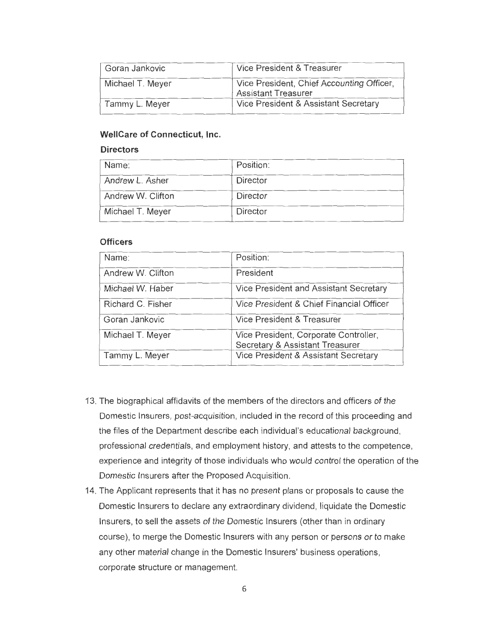| Goran Jankovic   | Vice President & Treasurer                                              |
|------------------|-------------------------------------------------------------------------|
| Michael T. Meyer | Vice President, Chief Accounting Officer,<br><b>Assistant Treasurer</b> |
| Tammy L. Meyer   | Vice President & Assistant Secretary                                    |

# **WellCare of Connecticut, Inc.**

#### **Directors**

| Name:             | Position: |
|-------------------|-----------|
| Andrew L. Asher   | Director  |
| Andrew W. Clifton | Director  |
| Michael T. Meyer  | Director  |

### **Officers**

| Name:             | Position:                                                                |
|-------------------|--------------------------------------------------------------------------|
| Andrew W. Clifton | President                                                                |
| Michael W. Haber  | Vice President and Assistant Secretary                                   |
| Richard C. Fisher | Vice President & Chief Financial Officer                                 |
| Goran Jankovic    | Vice President & Treasurer                                               |
| Michael T. Meyer  | Vice President, Corporate Controller,<br>Secretary & Assistant Treasurer |
| Tammy L. Meyer    | Vice President & Assistant Secretary                                     |

- 13. The biographical affidavits of the members of the directors and officers of the Domestic Insurers, post-acquisition, included in the record of this proceeding and the files of the Department describe each individual's educational background, professional credentials, and employment history, and attests to the competence, experience and integrity of those individuals who would control the operation of the Domestic Insurers after the Proposed Acquisition .
- 14. The Applicant represents that it has no present plans or proposals to cause the Domestic Insurers to declare any extraordinary dividend, liquidate the Domestic Insurers, to sell the assets of the Domestic Insurers (other than in ordinary course), to merge the Domestic Insurers with any person or persons or to make any other material change in the Domestic Insurers' business operations, corporate structure or management.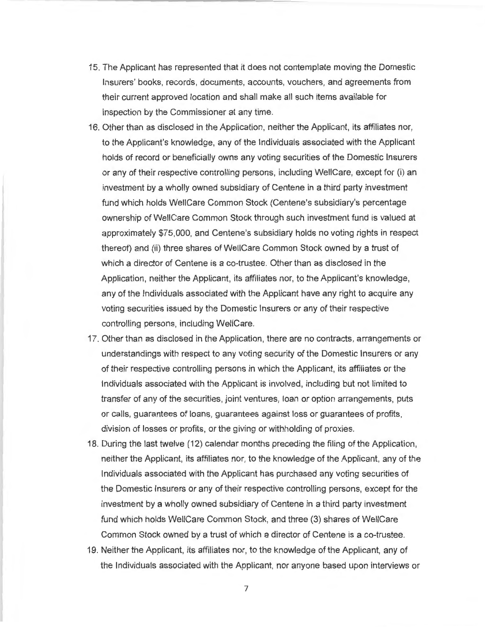- 15. The Applicant has represented that it does not contemplate moving the Domestic Insurers' books, records, documents, accounts, vouchers, and agreements from their current approved location and shall make all such items available for inspection by the Commissioner at any time.
- 16. Other than as disclosed in the Application, neither the Applicant, its affiliates nor, to the Applicant's knowledge, any of the Individuals associated with the Applicant holds of record or beneficially owns any voting securities of the Domestic Insurers or any of their respective controlling persons, including WellCare, except for (i) an investment by a wholly owned subsidiary of Centene in a third party investment fund which holds WellCare Common Stock (Centene's subsidiary's percentage ownership of WellCare Common Stock through such investment fund is valued at approximately \$75,000, and Centene's subsidiary holds no voting rights in respect thereof) and (ii) three shares of WellCare Common Stock owned by a trust of which a director of Centene is a co-trustee. Other than as disclosed in the Application, neither the Applicant, its affiliates nor, to the Applicant's knowledge, any of the Individuals associated with the Applicant have any right to acquire any voting securities issued by the Domestic Insurers or any of their respective controlling persons, including WellCare.
- 17. Other than as disclosed in the Application, there are no contracts, arrangements or understandings with respect to any voting security of the Domestic Insurers or any of their respective controlling persons in which the Applicant, its affiliates or the Individuals associated with the Applicant is involved, including but not limited to transfer of any of the securities, joint ventures, loan or option arrangements, puts or calls, guarantees of loans, guarantees against loss or guarantees of profits, division of losses or profits, or the giving or withholding of proxies.
- 18. During the last twelve ( 12) calendar months preceding the filing of the Application, neither the Applicant, its affiliates nor, to the knowledge of the Applicant, any of the Individuals associated with the Applicant has purchased any voting securities of the Domestic Insurers or any of their respective controlling persons, except for the investment by a wholly owned subsidiary of Centene in a third party investment fund which holds WellCare Common Stock, and three (3) shares of WellCare Common Stock owned by a trust of which a director of Centene is a co-trustee.
- 19. Neither the Applicant, its affiliates nor, to the knowledge of the Applicant, any of the Individuals associated with the Applicant, nor anyone based upon interviews or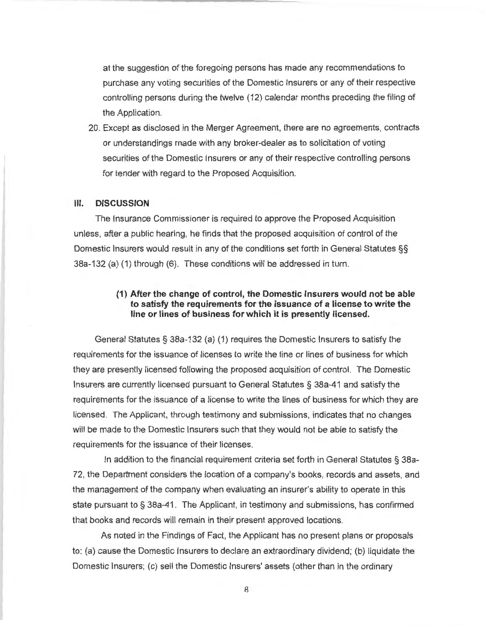at the suggestion of the foregoing persons has made any recommendations to purchase any voting securities of the Domestic Insurers or any of their respective controlling persons during the twelve ( 12) calendar months preceding the filing of the Application.

20. Except as disclosed in the Merger Agreement, there are no agreements, contracts or understandings made with any broker-dealer as to solicitation of voting securities of the Domestic Insurers or any of their respective controlling persons for tender with regard to the Proposed Acquisition.

#### **Ill. DISCUSSION**

The Insurance Commissioner is required to approve the Proposed Acquisition unless, after a public hearing, he finds that the proposed acquisition of control of the Domestic Insurers would result in any of the conditions set forth in General Statutes §§ 38a-132 (a) (1) through (6). These conditions will be addressed in turn.

## **(1) After the change of control, the Domestic Insurers would not be able to satisfy the requirements for the issuance of a license to write the line or lines of business for which it is presently licensed.**

General Statutes§ 38a-132 (a) (1) requires the Domestic Insurers to satisfy the requirements for the issuance of licenses to write the line or lines of business for which they are presently licensed following the proposed acquisition of control. The Domestic Insurers are currently licensed pursuant to General Statutes § 38a-41 and satisfy the requirements for the issuance of a license to write the lines of business for which they are licensed. The Applicant, through testimony and submissions, indicates that no changes will be made to the Domestic Insurers such that they would not be able to satisfy the requirements for the issuance of their licenses.

In addition to the financial requirement criteria set forth in General Statutes § 38a-72, the Department considers the location of a company's books, records and assets, and the management of the company when evaluating an insurer's ability to operate in this state pursuant to § 38a-41 . The Applicant, in testimony and submissions, has confirmed that books and records will remain in their present approved locations.

As noted in the Findings of Fact, the Applicant has no present plans or proposals to: (a) cause the Domestic Insurers to declare an extraordinary dividend; (b) liquidate the Domestic Insurers; (c) sell the Domestic Insurers' assets (other than in the ordinary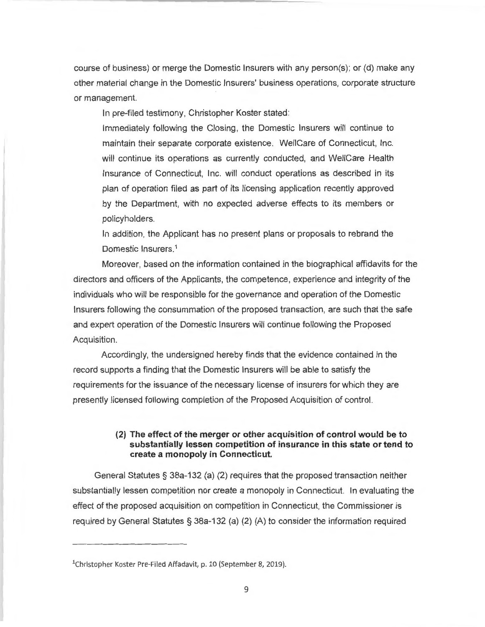course of business) or merge the Domestic Insurers with any person(s); or (d) make any other material change in the Domestic Insurers' business operations, corporate structure or management.

In pre-filed testimony, Christopher Koster stated:

Immediately following the Closing, the Domestic Insurers will continue to maintain their separate corporate existence. WellCare of Connecticut, Inc. will continue its operations as currently conducted, and WellCare Health Insurance of Connecticut, Inc. will conduct operations as described in its plan of operation filed as part of its licensing application recently approved by the Department, with no expected adverse effects to its members or policyholders.

In addition, the Applicant has no present plans or proposals to rebrand the Domestic lnsurers. 1

Moreover, based on the information contained in the biographical affidavits for the directors and officers of the Applicants, the competence, experience and integrity of the individuals who will be responsible for the governance and operation of the Domestic Insurers following the consummation of the proposed transaction, are such that the safe and expert operation of the Domestic Insurers will continue following the Proposed Acquisition.

Accordingly, the undersigned hereby finds that the evidence contained in the record supports a finding that the Domestic Insurers will be able to satisfy the requirements for the issuance of the necessary license of insurers for which they are presently licensed following completion of the Proposed Acquisition of control.

### **(2) The effect of the merger or other acquisition of control would be to substantially lessen competition of insurance in this state or tend to create a monopoly in Connecticut.**

General Statutes§ 38a-132 (a) (2) requires that the proposed transaction neither substantially lessen competition nor create a monopoly in Connecticut. In evaluating the effect of the proposed acquisition on competition in Connecticut, the Commissioner is required by General Statutes § 38a-132 (a) (2) (A) to consider the information required

<sup>&</sup>lt;sup>1</sup>Christopher Koster Pre-Filed Affadavit, p. 10 (September 8, 2019).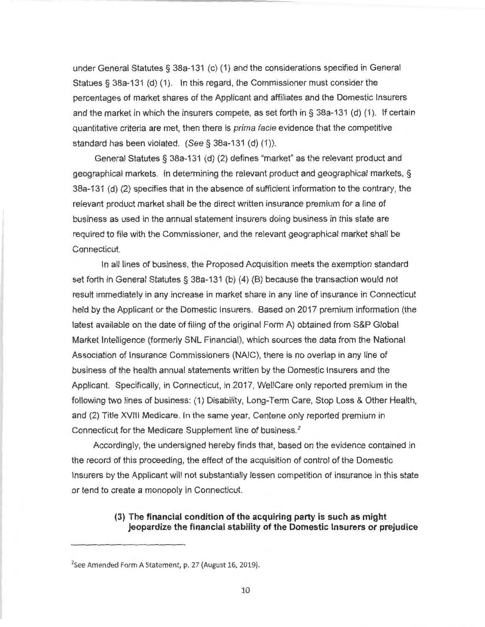under General Statutes§ 38a-131 (c) (1) and the considerations specified in General Statues § 38a-131 (d) (1). In this regard, the Commissioner must consider the percentages of market shares of the Applicant and affiliates and the Domestic Insurers and the market in which the insurers compete, as set forth in § 38a-131 (d) (1). If certain quantitative criteria are met, then there is prima facie evidence that the competitive standard has been violated. (See§ 38a-131 (d) (1)).

General Statutes § 38a-131 (d) (2) defines "market" as the relevant product and geographical markets. In determining the relevant product and geographical markets, § 38a-131 (d) (2) specifies that in the absence of sufficient information to the contrary, the relevant product market shall be the direct written insurance premium for a line of business as used in the annual statement insurers doing business in this state are required to file with the Commissioner, and the relevant geographical market shall be Connecticut.

In all lines of business, the Proposed Acquisition meets the exemption standard set forth in General Statutes§ 38a-131 (b) (4) (B) because the transaction would not result immediately in any increase in market share in any line of insurance in Connecticut held by the Applicant or the Domestic Insurers. Based on 2017 premium information (the latest available on the date of filing of the original Form A) obtained from S&P Global Market Intelligence (formerly SNL Financial), which sources the data from the National Association of Insurance Commissioners (NAIC), there is no overlap in any line of business of the health annual statements written by the Domestic Insurers and the Applicant. Specifically, in Connecticut, in 2017, WellCare only reported premium in the following two lines of business: (1) Disability, Long-Term Care, Stop Loss & Other Health, and (2) Title **XVIII** Medicare. In the same year, Centene only reported premium in Connecticut for the Medicare Supplement line of business. 2

Accordingly, the undersigned hereby finds that, based on the evidence contained in the record of this proceeding , the effect of the acquisition of control of the Domestic Insurers by the Applicant will not substantially lessen competition of insurance in this state or tend to create a monopoly in Connecticut.

## **(3) The financial condition of the acquiring party is such as might jeopardize the financial stability of the Domestic Insurers or prejudice**

<sup>2</sup> See Amended Form A Statement, p. 27 (August 16, 2019).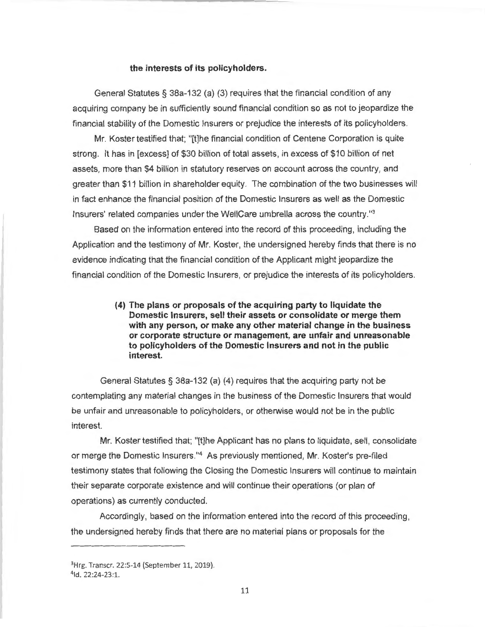#### **the interests of its policyholders.**

General Statutes§ 38a-132 (a) (3) requires that the financial condition of any acquiring company be in sufficiently sound financial condition so as not to jeopardize the financial stability of the Domestic Insurers or prejudice the interests of its policyholders.

Mr. Koster testified that; "[t]he financial condition of Centene Corporation is quite strong. It has in [excess] of \$30 billion of total assets, in excess of \$10 billion of net assets, more than \$4 billion in statutory reserves on account across the country, and greater than \$11 billion in shareholder equity. The combination of the two businesses will in fact enhance the financial position of the Domestic Insurers as well as the Domestic Insurers' related companies under the WellCare umbrella across the country."3

Based on the information entered into the record of this proceeding, including the Application and the testimony of Mr. Koster, the undersigned hereby finds that there is no evidence indicating that the financial condition of the Applicant might jeopardize the financial condition of the Domestic Insurers, or prejudice the interests of its policyholders.

> **(4) The plans or proposals of the acquiring party to liquidate the Domestic Insurers, sell their assets or consolidate or merge them with any person, or make any other material change in the business or corporate structure or management, are unfair and unreasonable to policyholders of the Domestic Insurers and not in the public interest.**

General Statutes§ 38a-132 (a) (4) requires that the acquiring party not be contemplating any material changes in the business of the Domestic Insurers that would be unfair and unreasonable to policyholders, or otherwise would not be in the public interest.

Mr. Koster testified that; "[t]he Applicant has no plans to liquidate, sell, consolidate or merge the Domestic lnsurers." 4 As previously mentioned, Mr. Koster's pre-filed testimony states that following the Closing the Domestic Insurers will continue to maintain their separate corporate existence and will continue their operations (or plan of operations) as currently conducted.

Accordingly, based on the information entered into the record of this proceeding , the undersigned hereby finds that there are no material plans or proposals for the

<sup>&</sup>lt;sup>3</sup>Hrg. Transcr. 22:5-14 (September 11, 2019).

<sup>&</sup>lt;sup>4</sup>ld. 22:24-23:1.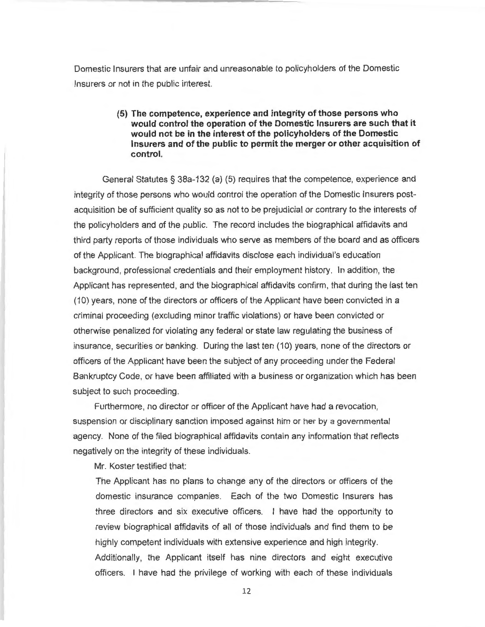Domestic Insurers that are unfair and unreasonable to policyholders of the Domestic Insurers or not in the public interest.

## **(5) The competence, experience and integrity of those persons who would control the operation of the Domestic Insurers are such that it would not be in the interest of the policyholders of the Domestic Insurers and of the public to permit the merger or other acquisition of control.**

General Statutes§ 38a-132 (a) (5) requires that the competence, experience and integrity of those persons who would control the operation of the Domestic Insurers postacquisition be of sufficient quality so as not to be prejudicial or contrary to the interests of the policyholders and of the public. The record includes the biographical affidavits and third party reports of those individuals who serve as members of the board and as officers of the Applicant. The biographical affidavits disclose each individual's education background, professional credentials and their employment history. In addition, the Applicant has represented, and the biographical affidavits confirm, that during the last ten (10) years, none of the directors or officers of the Applicant have been convicted in a criminal proceeding (excluding minor traffic violations) or have been convicted or otherwise penalized for violating any federal or state law regulating the business of insurance, securities or banking. During the last ten (10) years , none of the directors or officers of the Applicant have been the subject of any proceeding under the Federal Bankruptcy Code, or have been affiliated with a business or organization which has been subject to such proceeding.

Furthermore, no director or officer of the Applicant have had a revocation, suspension or disciplinary sanction imposed against him or her by a governmental agency. None of the filed biographical affidavits contain any information that reflects negatively on the integrity of these individuals.

Mr. Koster testified that:

The Applicant has no plans to change any of the directors or officers of the domestic insurance companies. Each of the two Domestic Insurers has three directors and six executive officers. I have had the opportunity to review biographical affidavits of all of those individuals and find them to be highly competent individuals with extensive experience and high integrity. Additionally, the Applicant itself has nine directors and eight executive officers. I have had the privilege of working with each of these individuals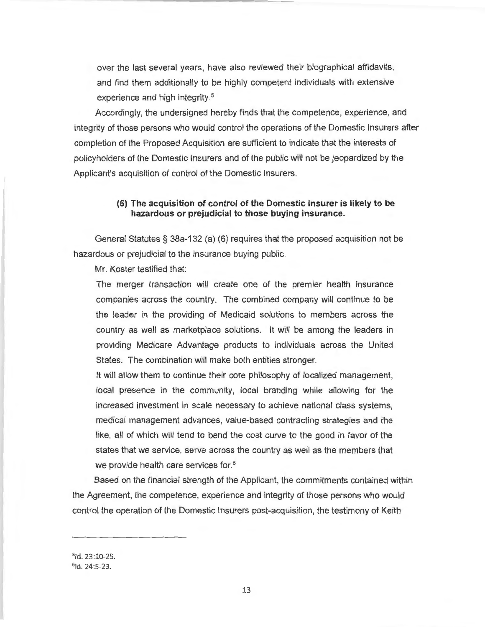over the last several years, have also reviewed their biographical affidavits, and find them additionally to be highly competent individuals with extensive experience and high integrity. 5

Accordingly, the undersigned hereby finds that the competence, experience, and integrity of those persons who would control the operations of the Domestic Insurers after completion of the Proposed Acquisition are sufficient to indicate that the interests of policyholders of the Domestic Insurers and of the public will not be jeopardized by the Applicant's acquisition of control of the Domestic Insurers.

## **(6) The acquisition of control of the Domestic Insurer is likely to be hazardous or prejudicial to those buying insurance.**

General Statutes§ 38a-132 (a) (6) requires that the proposed acquisition not be hazardous or prejudicial to the insurance buying public.

Mr. Koster testified that:

The merger transaction will create one of the premier health insurance companies across the country. The combined company will continue to be the leader in the providing of Medicaid solutions to members across the country as well as marketplace solutions. It will be among the leaders in providing Medicare Advantage products to individuals across the United States. The combination will make both entities stronger.

It will allow them to continue their core philosophy of localized management, local presence in the community, local branding while allowing for the increased investment in scale necessary to achieve national class systems, medical management advances, value-based contracting strategies and the like, all of which will tend to bend the cost curve to the good in favor of the states that we service, serve across the country as well as the members that we provide health care services for. 6

Based on the financial strength of the Applicant, the commitments contained within the Agreement, the competence, experience and integrity of those persons who would control the operation of the Domestic Insurers post-acquisition, the testimony of Keith

51d. 23:10-25.  $61d. 24:5-23.$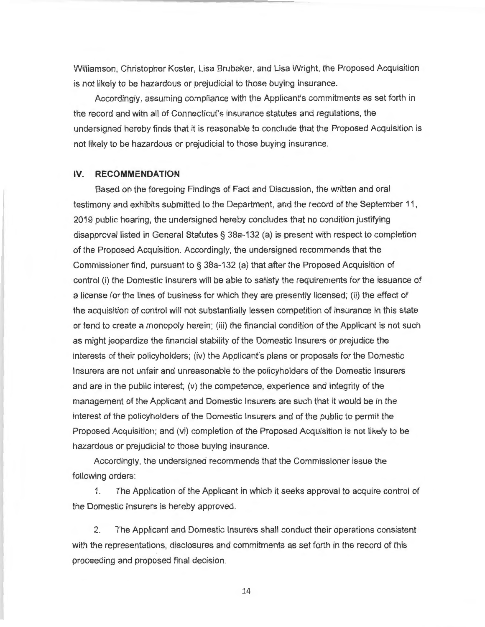Williamson, Christopher Koster, Lisa Brubaker, and Lisa Wright, the Proposed Acquisition is not likely to be hazardous or prejudicial to those buying insurance.

Accordingly, assuming compliance with the Applicant's commitments as set forth in the record and with all of Connecticut's insurance statutes and regulations, the undersigned hereby finds that it is reasonable to conclude that the Proposed Acquisition is not likely to be hazardous or prejudicial to those buying insurance.

#### **IV. RECOMMENDATION**

Based on the foregoing Findings of Fact and Discussion, the written and oral testimony and exhibits submitted to the Department, and the record of the September 11 , 2019 public hearing, the undersigned hereby concludes that no condition justifying disapproval listed in General Statutes§ 38a-132 (a) is present with respect to completion of the Proposed Acquisition. Accordingly, the undersigned recommends that the Commissioner find, pursuant to § 38a-132 (a) that after the Proposed Acquisition of control (i) the Domestic Insurers will be able to satisfy the requirements for the issuance of a license for the lines of business for which they are presently licensed; (ii) the effect of the acquisition of control will not substantially lessen competition of insurance in this state or tend to create a monopoly herein; (iii) the financial condition of the Applicant is not such as might jeopardize the financial stability of the Domestic Insurers or prejudice the interests of their policyholders; (iv) the Applicant's plans or proposals for the Domestic Insurers are not unfair and unreasonable to the policyholders of the Domestic Insurers and are in the public interest; (v) the competence, experience and integrity of the management of the Applicant and Domestic Insurers are such that it would be in the interest of the policyholders of the Domestic Insurers and of the public to permit the Proposed Acquisition; and (vi) completion of the Proposed Acquisition is not likely to be hazardous or prejudicial to those buying insurance.

Accordingly, the undersigned recommends that the Commissioner issue the following orders:

1. The Application of the Applicant in which it seeks approval to acquire control of the Domestic Insurers is hereby approved.

2. The Applicant and Domestic Insurers shall conduct their operations consistent with the representations, disclosures and commitments as set forth in the record of this proceeding and proposed final decision.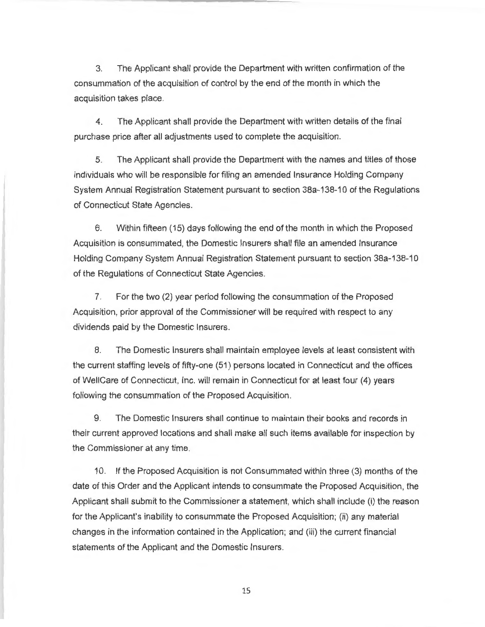3. The Applicant shall provide the Department with written confirmation of the consummation of the acquisition of control by the end of the month in which the acquisition takes place.

4. The Applicant shall provide the Department with written details of the final purchase price after all adjustments used to complete the acquisition.

5. The Applicant shall provide the Department with the names and titles of those individuals who will be responsible for filing an amended Insurance Holding Company System Annual Registration Statement pursuant to section 38a-138-10 of the Regulations of Connecticut State Agencies.

6. Within fifteen (15) days following the end of the month in which the Proposed Acquisition is consummated, the Domestic Insurers shall file an amended Insurance Holding Company System Annual Registration Statement pursuant to section 38a-138-10 of the Regulations of Connecticut State Agencies.

7. For the two (2) year period following the consummation of the Proposed Acquisition, prior approval of the Commissioner will be required with respect to any dividends paid by the Domestic Insurers.

8. The Domestic Insurers shall maintain employee levels at least consistent with the current staffing levels of fifty-one (51) persons located in Connecticut and the offices of WellCare of Connecticut, Inc. will remain in Connecticut for at least four (4) years following the consummation of the Proposed Acquisition.

9. The Domestic Insurers shall continue to maintain their books and records in their current approved locations and shall make all such items available for inspection by the Commissioner at any time.

10. If the Proposed Acquisition is not Consummated within three (3) months of the date of this Order and the Applicant intends to consummate the Proposed Acquisition, the Applicant shall submit to the Commissioner a statement, which shall include (i) the reason for the Applicant's inability to consummate the Proposed Acquisition; (ii) any material changes in the information contained in the Application; and (iii) the current financial statements of the Applicant and the Domestic Insurers.